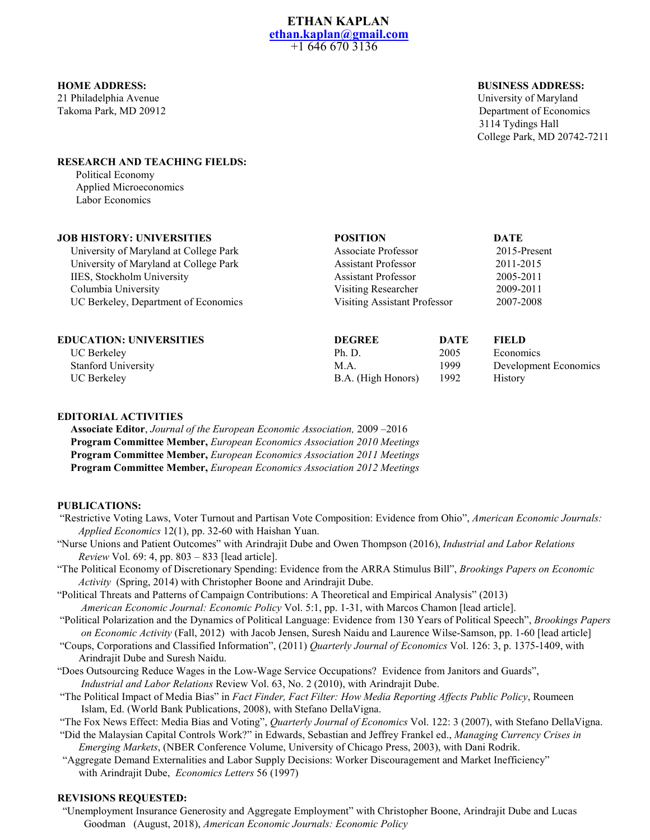21 Philadelphia Avenue University of Maryland

#### **HOME ADDRESS: BUSINESS ADDRESS:**

Takoma Park, MD 20912 Department of Economics 3114 Tydings Hall College Park, MD 20742-7211

#### **RESEARCH AND TEACHING FIELDS:**

 Political Economy Applied Microeconomics Labor Economics

| <b>JOB HISTORY: UNIVERSITIES</b>       | <b>POSITION</b>                     |      | <b>DATE</b>     |  |
|----------------------------------------|-------------------------------------|------|-----------------|--|
| University of Maryland at College Park | Associate Professor                 |      | $2015$ -Present |  |
| University of Maryland at College Park | <b>Assistant Professor</b>          |      | 2011-2015       |  |
| IIES, Stockholm University             | <b>Assistant Professor</b>          |      | 2005-2011       |  |
| Columbia University                    | Visiting Researcher                 |      | 2009-2011       |  |
| UC Berkeley, Department of Economics   | <b>Visiting Assistant Professor</b> |      | 2007-2008       |  |
| <b>EDUCATION: UNIVERSITIES</b>         | <b>DEGREE</b>                       | DATE | FIEL D          |  |

| EDUCATION: UNIVERSITIES    | DEGNEE             | DAIL | FILLD                 |
|----------------------------|--------------------|------|-----------------------|
| UC Berkeley                | Ph. D.             | 2005 | Economics             |
| <b>Stanford University</b> | M.A.               | 1999 | Development Economics |
| UC Berkeley                | B.A. (High Honors) | 1992 | <b>History</b>        |
|                            |                    |      |                       |

# **EDITORIAL ACTIVITIES**

 **Associate Editor**, *Journal of the European Economic Association,* 2009 –2016  **Program Committee Member,** *European Economics Association 2010 Meetings*  **Program Committee Member,** *European Economics Association 2011 Meetings* **Program Committee Member,** *European Economics Association 2012 Meetings*

# **PUBLICATIONS:**

- "Restrictive Voting Laws, Voter Turnout and Partisan Vote Composition: Evidence from Ohio", *American Economic Journals: Applied Economics* 12(1), pp. 32-60 with Haishan Yuan.
- "Nurse Unions and Patient Outcomes" with Arindrajit Dube and Owen Thompson (2016), *Industrial and Labor Relations Review* Vol. 69: 4, pp. 803 – 833 [lead article].
- "The Political Economy of Discretionary Spending: Evidence from the ARRA Stimulus Bill", *Brookings Papers on Economic Activity* (Spring, 2014) with Christopher Boone and Arindrajit Dube.
- "Political Threats and Patterns of Campaign Contributions: A Theoretical and Empirical Analysis" (2013) *American Economic Journal: Economic Policy* Vol. 5:1, pp. 1-31, with Marcos Chamon [lead article].

"Political Polarization and the Dynamics of Political Language: Evidence from 130 Years of Political Speech", *Brookings Papers on Economic Activity* (Fall, 2012) with Jacob Jensen, Suresh Naidu and Laurence Wilse-Samson, pp. 1-60 [lead article]

- "Coups, Corporations and Classified Information", (2011) *Quarterly Journal of Economics* Vol. 126: 3, p. 1375-1409, with Arindrajit Dube and Suresh Naidu.
- "Does Outsourcing Reduce Wages in the Low-Wage Service Occupations? Evidence from Janitors and Guards", *Industrial and Labor Relations* Review Vol. 63, No. 2 (2010), with Arindrajit Dube.
- "The Political Impact of Media Bias" in *Fact Finder, Fact Filter: How Media Reporting Affects Public Policy*, Roumeen Islam, Ed. (World Bank Publications, 2008), with Stefano DellaVigna.

"The Fox News Effect: Media Bias and Voting", *Quarterly Journal of Economics* Vol. 122: 3 (2007), with Stefano DellaVigna.

- "Did the Malaysian Capital Controls Work?" in Edwards, Sebastian and Jeffrey Frankel ed., *Managing Currency Crises in Emerging Markets*, (NBER Conference Volume, University of Chicago Press, 2003), with Dani Rodrik.
- "Aggregate Demand Externalities and Labor Supply Decisions: Worker Discouragement and Market Inefficiency" with Arindrajit Dube, *Economics Letters* 56 (1997)

# **REVISIONS REQUESTED:**

 "Unemployment Insurance Generosity and Aggregate Employment" with Christopher Boone, Arindrajit Dube and Lucas Goodman (August, 2018), *American Economic Journals: Economic Policy*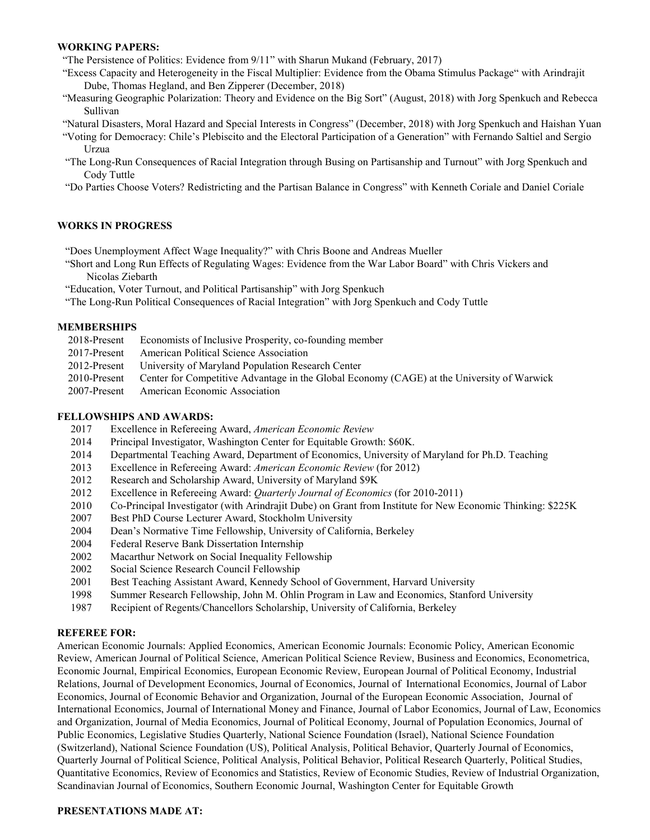### **WORKING PAPERS:**

"The Persistence of Politics: Evidence from 9/11" with Sharun Mukand (February, 2017)

- "Excess Capacity and Heterogeneity in the Fiscal Multiplier: Evidence from the Obama Stimulus Package" with Arindrajit Dube, Thomas Hegland, and Ben Zipperer (December, 2018)
- "Measuring Geographic Polarization: Theory and Evidence on the Big Sort" (August, 2018) with Jorg Spenkuch and Rebecca Sullivan
- "Natural Disasters, Moral Hazard and Special Interests in Congress" (December, 2018) with Jorg Spenkuch and Haishan Yuan
- "Voting for Democracy: Chile's Plebiscito and the Electoral Participation of a Generation" with Fernando Saltiel and Sergio Urzua
- "The Long-Run Consequences of Racial Integration through Busing on Partisanship and Turnout" with Jorg Spenkuch and Cody Tuttle
- "Do Parties Choose Voters? Redistricting and the Partisan Balance in Congress" with Kenneth Coriale and Daniel Coriale

## **WORKS IN PROGRESS**

"Does Unemployment Affect Wage Inequality?" with Chris Boone and Andreas Mueller

- "Short and Long Run Effects of Regulating Wages: Evidence from the War Labor Board" with Chris Vickers and Nicolas Ziebarth
- "Education, Voter Turnout, and Political Partisanship" with Jorg Spenkuch
- "The Long-Run Political Consequences of Racial Integration" with Jorg Spenkuch and Cody Tuttle

## **MEMBERSHIPS**

- 2018-Present Economists of Inclusive Prosperity, co-founding member
- 2017-Present American Political Science Association
- 2012-Present University of Maryland Population Research Center
- 2010-Present Center for Competitive Advantage in the Global Economy (CAGE) at the University of Warwick
- 2007-Present American Economic Association

# **FELLOWSHIPS AND AWARDS:**

- 2017 Excellence in Refereeing Award, *American Economic Review*
- 2014 Principal Investigator, Washington Center for Equitable Growth: \$60K.
- 2014 Departmental Teaching Award, Department of Economics, University of Maryland for Ph.D. Teaching
- 2013 Excellence in Refereeing Award: *American Economic Review* (for 2012)
- 2012 Research and Scholarship Award, University of Maryland \$9K
- 2012 Excellence in Refereeing Award: *Quarterly Journal of Economics* (for 2010-2011)
- 2010 Co-Principal Investigator (with Arindrajit Dube) on Grant from Institute for New Economic Thinking: \$225K
- 2007 Best PhD Course Lecturer Award, Stockholm University
- 2004 Dean's Normative Time Fellowship, University of California, Berkeley
- 2004 Federal Reserve Bank Dissertation Internship
- 2002 Macarthur Network on Social Inequality Fellowship
- 2002 Social Science Research Council Fellowship
- 2001 Best Teaching Assistant Award, Kennedy School of Government, Harvard University
- 1998 Summer Research Fellowship, John M. Ohlin Program in Law and Economics, Stanford University
- 1987 Recipient of Regents/Chancellors Scholarship, University of California, Berkeley

## **REFEREE FOR:**

American Economic Journals: Applied Economics, American Economic Journals: Economic Policy, American Economic Review, American Journal of Political Science, American Political Science Review, Business and Economics, Econometrica, Economic Journal, Empirical Economics, European Economic Review, European Journal of Political Economy, Industrial Relations, Journal of Development Economics, Journal of Economics, Journal of International Economics, Journal of Labor Economics, Journal of Economic Behavior and Organization, Journal of the European Economic Association, Journal of International Economics, Journal of International Money and Finance, Journal of Labor Economics, Journal of Law, Economics and Organization, Journal of Media Economics, Journal of Political Economy, Journal of Population Economics, Journal of Public Economics, Legislative Studies Quarterly, National Science Foundation (Israel), National Science Foundation (Switzerland), National Science Foundation (US), Political Analysis, Political Behavior, Quarterly Journal of Economics, Quarterly Journal of Political Science, Political Analysis, Political Behavior, Political Research Quarterly, Political Studies, Quantitative Economics, Review of Economics and Statistics, Review of Economic Studies, Review of Industrial Organization, Scandinavian Journal of Economics, Southern Economic Journal, Washington Center for Equitable Growth

## **PRESENTATIONS MADE AT:**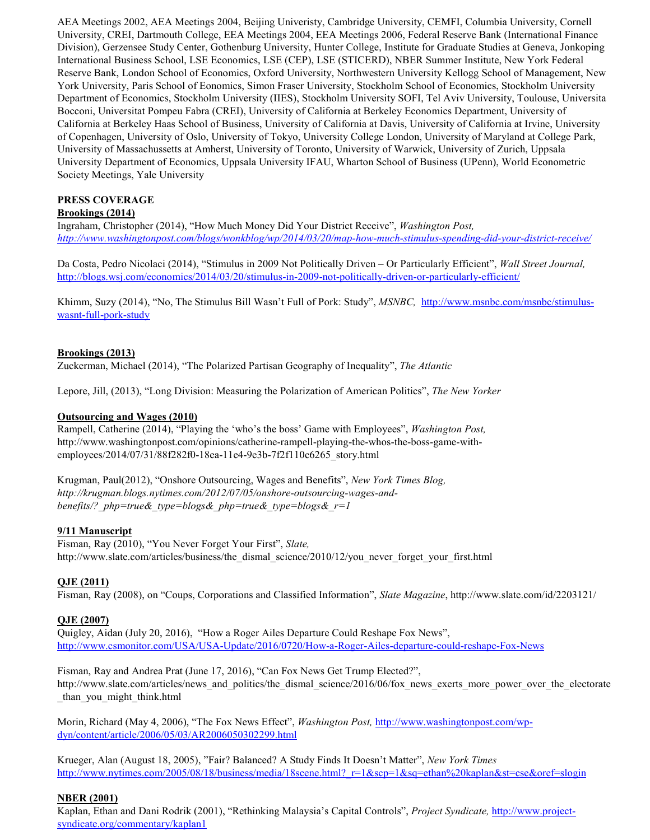AEA Meetings 2002, AEA Meetings 2004, Beijing Univeristy, Cambridge University, CEMFI, Columbia University, Cornell University, CREI, Dartmouth College, EEA Meetings 2004, EEA Meetings 2006, Federal Reserve Bank (International Finance Division), Gerzensee Study Center, Gothenburg University, Hunter College, Institute for Graduate Studies at Geneva, Jonkoping International Business School, LSE Economics, LSE (CEP), LSE (STICERD), NBER Summer Institute, New York Federal Reserve Bank, London School of Economics, Oxford University, Northwestern University Kellogg School of Management, New York University, Paris School of Eonomics, Simon Fraser University, Stockholm School of Economics, Stockholm University Department of Economics, Stockholm University (IIES), Stockholm University SOFI, Tel Aviv University, Toulouse, Universita Bocconi, Universitat Pompeu Fabra (CREI), University of California at Berkeley Economics Department, University of California at Berkeley Haas School of Business, University of California at Davis, University of California at Irvine, University of Copenhagen, University of Oslo, University of Tokyo, University College London, University of Maryland at College Park, University of Massachussetts at Amherst, University of Toronto, University of Warwick, University of Zurich, Uppsala University Department of Economics, Uppsala University IFAU, Wharton School of Business (UPenn), World Econometric Society Meetings, Yale University

# **PRESS COVERAGE**

# **Brookings (2014)**

Ingraham, Christopher (2014), "How Much Money Did Your District Receive", *Washington Post, <http://www.washingtonpost.com/blogs/wonkblog/wp/2014/03/20/map-how-much-stimulus-spending-did-your-district-receive/>*

Da Costa, Pedro Nicolaci (2014), "Stimulus in 2009 Not Politically Driven – Or Particularly Efficient", *Wall Street Journal,*  <http://blogs.wsj.com/economics/2014/03/20/stimulus-in-2009-not-politically-driven-or-particularly-efficient/>

Khimm, Suzy (2014), "No, The Stimulus Bill Wasn't Full of Pork: Study", *MSNBC,* [http://www.msnbc.com/msnbc/stimulus](http://www.msnbc.com/msnbc/stimulus-wasnt-full-pork-study)[wasnt-full-pork-study](http://www.msnbc.com/msnbc/stimulus-wasnt-full-pork-study)

# **Brookings (2013)**

Zuckerman, Michael (2014), "The Polarized Partisan Geography of Inequality", *The Atlantic*

Lepore, Jill, (2013), "Long Division: Measuring the Polarization of American Politics", *The New Yorker* 

# **Outsourcing and Wages (2010)**

Rampell, Catherine (2014), "Playing the 'who's the boss' Game with Employees", *Washington Post,*  http://www.washingtonpost.com/opinions/catherine-rampell-playing-the-whos-the-boss-game-withemployees/2014/07/31/88f282f0-18ea-11e4-9e3b-7f2f110c6265\_story.html

Krugman, Paul(2012), "Onshore Outsourcing, Wages and Benefits", *New York Times Blog, http://krugman.blogs.nytimes.com/2012/07/05/onshore-outsourcing-wages-andbenefits/?\_php=true&\_type=blogs&\_php=true&\_type=blogs&\_r=1*

## **9/11 Manuscript**

Fisman, Ray (2010), "You Never Forget Your First", *Slate,*  http://www.slate.com/articles/business/the\_dismal\_science/2010/12/you\_never\_forget\_your\_first.html

# **QJE (2011)**

Fisman, Ray (2008), on "Coups, Corporations and Classified Information", *Slate Magazine*, http://www.slate.com/id/2203121/

## **QJE (2007)**

Quigley, Aidan (July 20, 2016), "How a Roger Ailes Departure Could Reshape Fox News", <http://www.csmonitor.com/USA/USA-Update/2016/0720/How-a-Roger-Ailes-departure-could-reshape-Fox-News>

Fisman, Ray and Andrea Prat (June 17, 2016), "Can Fox News Get Trump Elected?", http://www.slate.com/articles/news\_and\_politics/the\_dismal\_science/2016/06/fox\_news\_exerts\_more\_power\_over\_the\_electorate \_than\_you\_might\_think.html

Morin, Richard (May 4, 2006), "The Fox News Effect", *Washington Post,* [http://www.washingtonpost.com/wp](http://www.washingtonpost.com/wp-dyn/content/article/2006/05/03/AR2006050302299.html)[dyn/content/article/2006/05/03/AR2006050302299.html](http://www.washingtonpost.com/wp-dyn/content/article/2006/05/03/AR2006050302299.html)

Krueger, Alan (August 18, 2005), "Fair? Balanced? A Study Finds It Doesn't Matter", *New York Times* [http://www.nytimes.com/2005/08/18/business/media/18scene.html?\\_r=1&scp=1&sq=ethan%20kaplan&st=cse&oref=slogin](http://www.nytimes.com/2005/08/18/business/media/18scene.html?_r=1&scp=1&sq=ethan%20kaplan&st=cse&oref=slogin)

## **NBER (2001)**

Kaplan, Ethan and Dani Rodrik (2001), "Rethinking Malaysia's Capital Controls", *Project Syndicate,* [http://www.project](http://www.project-syndicate.org/commentary/kaplan1)[syndicate.org/commentary/kaplan1](http://www.project-syndicate.org/commentary/kaplan1)